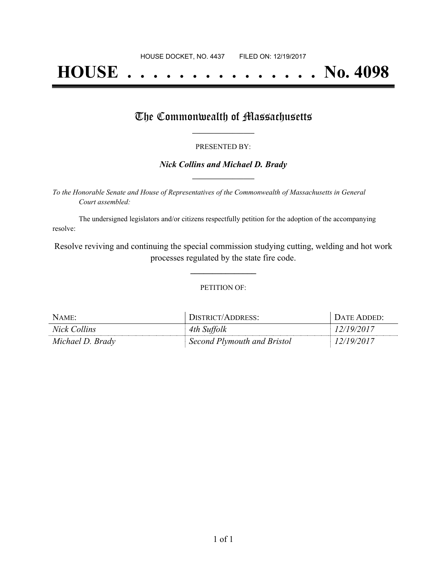# **HOUSE . . . . . . . . . . . . . . . No. 4098**

### The Commonwealth of Massachusetts

#### PRESENTED BY:

#### *Nick Collins and Michael D. Brady* **\_\_\_\_\_\_\_\_\_\_\_\_\_\_\_\_\_**

*To the Honorable Senate and House of Representatives of the Commonwealth of Massachusetts in General Court assembled:*

The undersigned legislators and/or citizens respectfully petition for the adoption of the accompanying resolve:

Resolve reviving and continuing the special commission studying cutting, welding and hot work processes regulated by the state fire code.

**\_\_\_\_\_\_\_\_\_\_\_\_\_\_\_**

#### PETITION OF:

| NAME:            | DISTRICT/ADDRESS:           | DATE ADDED: |
|------------------|-----------------------------|-------------|
| Nick Collins     | 4th Suffolk                 | 12/19/2017  |
| Michael D. Brady | Second Plymouth and Bristol | 12/19/2017  |